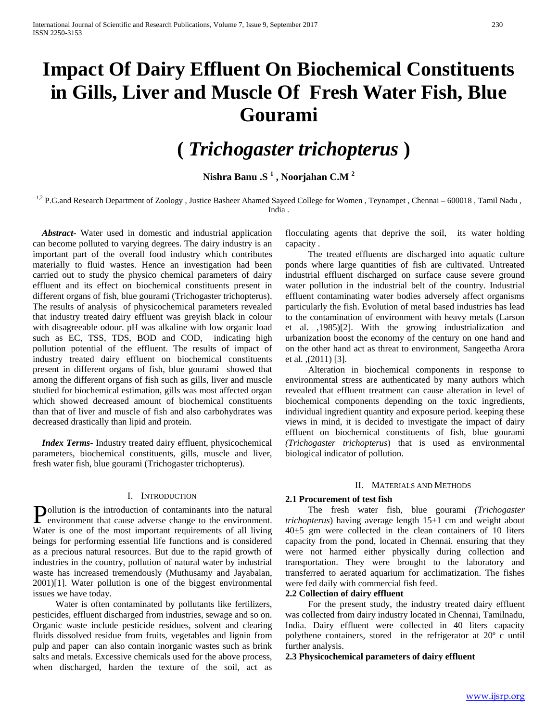# **Impact Of Dairy Effluent On Biochemical Constituents in Gills, Liver and Muscle Of Fresh Water Fish, Blue Gourami**

# **(** *Trichogaster trichopterus* **)**

**Nishra Banu .S <sup>1</sup> , Noorjahan C.M <sup>2</sup>**

<sup>1,2</sup> P.G.and Research Department of Zoology, Justice Basheer Ahamed Sayeed College for Women, Teynampet, Chennai – 600018, Tamil Nadu, India .

 *Abstract***-** Water used in domestic and industrial application can become polluted to varying degrees. The dairy industry is an important part of the overall food industry which contributes materially to fluid wastes. Hence an investigation had been carried out to study the physico chemical parameters of dairy effluent and its effect on biochemical constituents present in different organs of fish, blue gourami (Trichogaster trichopterus). The results of analysis of physicochemical parameters revealed that industry treated dairy effluent was greyish black in colour with disagreeable odour. pH was alkaline with low organic load such as EC, TSS, TDS, BOD and COD, indicating high pollution potential of the effluent. The results of impact of industry treated dairy effluent on biochemical constituents present in different organs of fish, blue gourami showed that among the different organs of fish such as gills, liver and muscle studied for biochemical estimation, gills was most affected organ which showed decreased amount of biochemical constituents than that of liver and muscle of fish and also carbohydrates was decreased drastically than lipid and protein.

 *Index Terms*- Industry treated dairy effluent, physicochemical parameters, biochemical constituents, gills, muscle and liver, fresh water fish, blue gourami (Trichogaster trichopterus).

# I. INTRODUCTION

ollution is the introduction of contaminants into the natural **Pollution** is the introduction of contaminants into the natural environment that cause adverse change to the environment. Water is one of the most important requirements of all living beings for performing essential life functions and is considered as a precious natural resources. But due to the rapid growth of industries in the country, pollution of natural water by industrial waste has increased tremendously (Muthusamy and Jayabalan, 2001)[1]. Water pollution is one of the biggest environmental issues we have today.

 Water is often contaminated by pollutants like fertilizers, pesticides, effluent discharged from industries, sewage and so on. Organic waste include pesticide residues, solvent and clearing fluids dissolved residue from fruits, vegetables and lignin from pulp and paper can also contain inorganic wastes such as brink salts and metals. Excessive chemicals used for the above process, when discharged, harden the texture of the soil, act as

flocculating agents that deprive the soil, its water holding capacity .

 The treated effluents are discharged into aquatic culture ponds where large quantities of fish are cultivated. Untreated industrial effluent discharged on surface cause severe ground water pollution in the industrial belt of the country. Industrial effluent contaminating water bodies adversely affect organisms particularly the fish. Evolution of metal based industries has lead to the contamination of environment with heavy metals (Larson et al. ,1985)[2]. With the growing industrialization and urbanization boost the economy of the century on one hand and on the other hand act as threat to environment, Sangeetha Arora et al. ,(2011) [3].

 Alteration in biochemical components in response to environmental stress are authenticated by many authors which revealed that effluent treatment can cause alteration in level of biochemical components depending on the toxic ingredients, individual ingredient quantity and exposure period. keeping these views in mind, it is decided to investigate the impact of dairy effluent on biochemical constituents of fish, blue gourami *(Trichogaster trichopterus*) that is used as environmental biological indicator of pollution.

#### II. MATERIALS AND METHODS

# **2.1 Procurement of test fish**

 The fresh water fish, blue gourami *(Trichogaster trichopterus*) having average length 15±1 cm and weight about 40±5 gm were collected in the clean containers of 10 liters capacity from the pond, located in Chennai. ensuring that they were not harmed either physically during collection and transportation. They were brought to the laboratory and transferred to aerated aquarium for acclimatization. The fishes were fed daily with commercial fish feed.

# **2.2 Collection of dairy effluent**

 For the present study, the industry treated dairy effluent was collected from dairy industry located in Chennai, Tamilnadu, India. Dairy effluent were collected in 40 liters capacity polythene containers, stored in the refrigerator at 20º c until further analysis.

# **2.3 Physicochemical parameters of dairy effluent**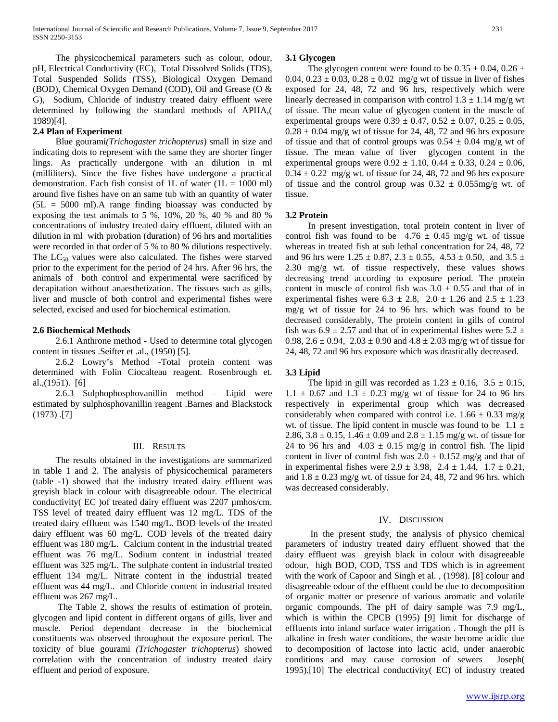The physicochemical parameters such as colour, odour, pH, Electrical Conductivity (EC), Total Dissolved Solids (TDS), Total Suspended Solids (TSS), Biological Oxygen Demand (BOD), Chemical Oxygen Demand (COD), Oil and Grease (O & G), Sodium, Chloride of industry treated dairy effluent were determined by following the standard methods of APHA,( 1989)[4].

# **2.4 Plan of Experiment**

 Blue gourami*(Trichogaster trichopterus*) small in size and indicating dots to represent with the same they are shorter finger lings. As practically undergone with an dilution in ml (milliliters). Since the five fishes have undergone a practical demonstration. Each fish consist of 1L of water  $(1L = 1000 \text{ ml})$ around five fishes have on an same tub with an quantity of water  $(5L = 5000 \text{ ml})$ . A range finding bioassay was conducted by exposing the test animals to 5 %, 10%, 20 %, 40 % and 80 % concentrations of industry treated dairy effluent, diluted with an dilution in ml with probation (duration) of 96 hrs and mortalities were recorded in that order of 5 % to 80 % dilutions respectively. The  $LC_{50}$  values were also calculated. The fishes were starved prior to the experiment for the period of 24 hrs. After 96 hrs, the animals of both control and experimental were sacrificed by decapitation without anaesthetization. The tissues such as gills, liver and muscle of both control and experimental fishes were selected, excised and used for biochemical estimation.

# **2.6 Biochemical Methods**

 2.6.1 Anthrone method - Used to determine total glycogen content in tissues .Seifter et .al., (1950) [5].

 2.6.2 Lowry's Method -Total protein content was determined with Folin Ciocalteau reagent. Rosenbrough et. al.,(1951). [6]

 2.6.3 Sulphophosphovanillin method – Lipid were estimated by sulphosphovanillin reagent .Barnes and Blackstock (1973) .[7]

# III. RESULTS

 The results obtained in the investigations are summarized in table 1 and 2. The analysis of physicochemical parameters (table -1) showed that the industry treated dairy effluent was greyish black in colour with disagreeable odour. The electrical conductivity( EC ) of treated dairy effluent was 2207 umhos/cm. TSS level of treated dairy effluent was 12 mg/L. TDS of the treated dairy effluent was 1540 mg/L. BOD levels of the treated dairy effluent was 60 mg/L. COD levels of the treated dairy effluent was 180 mg/L. Calcium content in the industrial treated effluent was 76 mg/L. Sodium content in industrial treated effluent was 325 mg/L. The sulphate content in industrial treated effluent 134 mg/L. Nitrate content in the industrial treated effluent was 44 mg/L. and Chloride content in industrial treated effluent was 267 mg/L.

 The Table 2, shows the results of estimation of protein, glycogen and lipid content in different organs of gills, liver and muscle. Period dependant decrease in the biochemical constituents was observed throughout the exposure period. The toxicity of blue gourami *(Trichogaster trichopterus*) showed correlation with the concentration of industry treated dairy effluent and period of exposure.

#### **3.1 Glycogen**

The glycogen content were found to be  $0.35 \pm 0.04$ ,  $0.26 \pm 0.04$ 0.04,  $0.23 \pm 0.03$ ,  $0.28 \pm 0.02$  mg/g wt of tissue in liver of fishes exposed for 24, 48, 72 and 96 hrs, respectively which were linearly decreased in comparison with control  $1.3 \pm 1.14$  mg/g wt of tissue. The mean value of glycogen content in the muscle of experimental groups were  $0.39 \pm 0.47$ ,  $0.52 \pm 0.07$ ,  $0.25 \pm 0.05$ ,  $0.28 \pm 0.04$  mg/g wt of tissue for 24, 48, 72 and 96 hrs exposure of tissue and that of control groups was  $0.54 \pm 0.04$  mg/g wt of tissue. The mean value of liver glycogen content in the experimental groups were  $0.92 \pm 1.10$ ,  $0.44 \pm 0.33$ ,  $0.24 \pm 0.06$ ,  $0.34 \pm 0.22$  mg/g wt. of tissue for 24, 48, 72 and 96 hrs exposure of tissue and the control group was  $0.32 \pm 0.055$ mg/g wt. of tissue.

#### **3.2 Protein**

 In present investigation, total protein content in liver of control fish was found to be  $4.76 \pm 0.45$  mg/g wt. of tissue whereas in treated fish at sub lethal concentration for 24, 48, 72 and 96 hrs were  $1.25 \pm 0.87$ ,  $2.3 \pm 0.55$ ,  $4.53 \pm 0.50$ , and  $3.5 \pm 0.50$ 2.30 mg/g wt. of tissue respectively, these values shows decreasing trend according to exposure period. The protein content in muscle of control fish was  $3.0 \pm 0.55$  and that of in experimental fishes were  $6.3 \pm 2.8$ ,  $2.0 \pm 1.26$  and  $2.5 \pm 1.23$ mg/g wt of tissue for 24 to 96 hrs. which was found to be decreased considerably, The protein content in gills of control fish was  $6.9 \pm 2.57$  and that of in experimental fishes were  $5.2 \pm$ 0.98,  $2.6 \pm 0.94$ ,  $2.03 \pm 0.90$  and  $4.8 \pm 2.03$  mg/g wt of tissue for 24, 48, 72 and 96 hrs exposure which was drastically decreased.

# **3.3 Lipid**

The lipid in gill was recorded as  $1.23 \pm 0.16$ ,  $3.5 \pm 0.15$ ,  $1.1 \pm 0.67$  and  $1.3 \pm 0.23$  mg/g wt of tissue for 24 to 96 hrs respectively in experimental group which was decreased considerably when compared with control i.e.  $1.66 \pm 0.33$  mg/g wt. of tissue. The lipid content in muscle was found to be  $1.1 \pm$ 2.86,  $3.8 \pm 0.15$ ,  $1.46 \pm 0.09$  and  $2.8 \pm 1.15$  mg/g wt. of tissue for 24 to 96 hrs and  $4.03 \pm 0.15$  mg/g in control fish. The lipid content in liver of control fish was  $2.0 \pm 0.152$  mg/g and that of in experimental fishes were  $2.9 \pm 3.98$ ,  $2.4 \pm 1.44$ ,  $1.7 \pm 0.21$ , and  $1.8 \pm 0.23$  mg/g wt. of tissue for 24, 48, 72 and 96 hrs. which was decreased considerably.

#### IV. DISCUSSION

 In the present study, the analysis of physico chemical parameters of industry treated dairy effluent showed that the dairy effluent was greyish black in colour with disagreeable odour, high BOD, COD, TSS and TDS which is in agreement with the work of Capoor and Singh et al. , (1998). [8] colour and disagreeable odour of the effluent could be due to decomposition of organic matter or presence of various aromatic and volatile organic compounds. The pH of dairy sample was 7.9 mg/L, which is within the CPCB (1995) [9] limit for discharge of effluents into inland surface water irrigation . Though the pH is alkaline in fresh water conditions, the waste become acidic due to decomposition of lactose into lactic acid, under anaerobic conditions and may cause corrosion of sewers Joseph( 1995).[10] The electrical conductivity( EC) of industry treated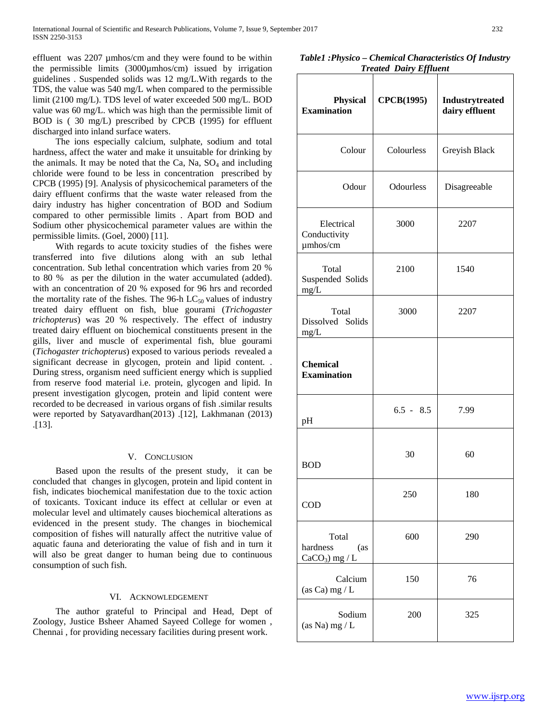effluent was 2207 umhos/cm and they were found to be within the permissible limits (3000µmhos/cm) issued by irrigation guidelines . Suspended solids was 12 mg/L.With regards to the TDS, the value was 540 mg/L when compared to the permissible limit (2100 mg/L). TDS level of water exceeded 500 mg/L. BOD value was 60 mg/L. which was high than the permissible limit of BOD is ( 30 mg/L) prescribed by CPCB (1995) for effluent discharged into inland surface waters.

 The ions especially calcium, sulphate, sodium and total hardness, affect the water and make it unsuitable for drinking by the animals. It may be noted that the Ca, Na,  $SO_4$  and including chloride were found to be less in concentration prescribed by CPCB (1995) [9]. Analysis of physicochemical parameters of the dairy effluent confirms that the waste water released from the dairy industry has higher concentration of BOD and Sodium compared to other permissible limits . Apart from BOD and Sodium other physicochemical parameter values are within the permissible limits. (Goel, 2000) [11].

 With regards to acute toxicity studies of the fishes were transferred into five dilutions along with an sub lethal concentration. Sub lethal concentration which varies from 20 % to 80 % as per the dilution in the water accumulated (added). with an concentration of 20 % exposed for 96 hrs and recorded the mortality rate of the fishes. The 96-h  $LC_{50}$  values of industry treated dairy effluent on fish, blue gourami (*Trichogaster trichopterus*) was 20 % respectively. The effect of industry treated dairy effluent on biochemical constituents present in the gills, liver and muscle of experimental fish, blue gourami (*Tichogaster trichopterus*) exposed to various periods revealed a significant decrease in glycogen, protein and lipid content. . During stress, organism need sufficient energy which is supplied from reserve food material i.e. protein, glycogen and lipid. In present investigation glycogen, protein and lipid content were recorded to be decreased in various organs of fish .similar results were reported by Satyavardhan(2013) .[12], Lakhmanan (2013) .[13].

# V. CONCLUSION

 Based upon the results of the present study, it can be concluded that changes in glycogen, protein and lipid content in fish, indicates biochemical manifestation due to the toxic action of toxicants. Toxicant induce its effect at cellular or even at molecular level and ultimately causes biochemical alterations as evidenced in the present study. The changes in biochemical composition of fishes will naturally affect the nutritive value of aquatic fauna and deteriorating the value of fish and in turn it will also be great danger to human being due to continuous consumption of such fish.

# VI. ACKNOWLEDGEMENT

 The author grateful to Principal and Head, Dept of Zoology, Justice Bsheer Ahamed Sayeed College for women , Chennai , for providing necessary facilities during present work.

*Table1 :Physico – Chemical Characteristics Of Industry Treated Dairy Effluent*

| <b>Physical</b><br><b>Examination</b>        | <b>CPCB(1995)</b> | Industrytreated<br>dairy effluent |  |
|----------------------------------------------|-------------------|-----------------------------------|--|
| Colour                                       | Colourless        | Greyish Black                     |  |
| Odour                                        | <b>Odourless</b>  | Disagreeable                      |  |
| Electrical<br>Conductivity<br>umhos/cm       | 3000              | 2207                              |  |
| Total<br>Suspended Solids<br>$mg/L$          | 2100              | 1540                              |  |
| Total<br>Dissolved Solids<br>mg/L            | 3000              | 2207                              |  |
| <b>Chemical</b><br><b>Examination</b>        |                   |                                   |  |
| pH                                           | $6.5 - 8.5$       | 7.99                              |  |
| <b>BOD</b>                                   | 30                | 60                                |  |
| COD                                          | 250               | 180                               |  |
| Total<br>hardness<br>(as<br>$CaCO3$ ) mg / L | 600               | 290                               |  |
| Calcium<br>(as Ca) mg / $L$                  | 150               | 76                                |  |
| Sodium<br>(as Na) $mg/L$                     | 200               | 325                               |  |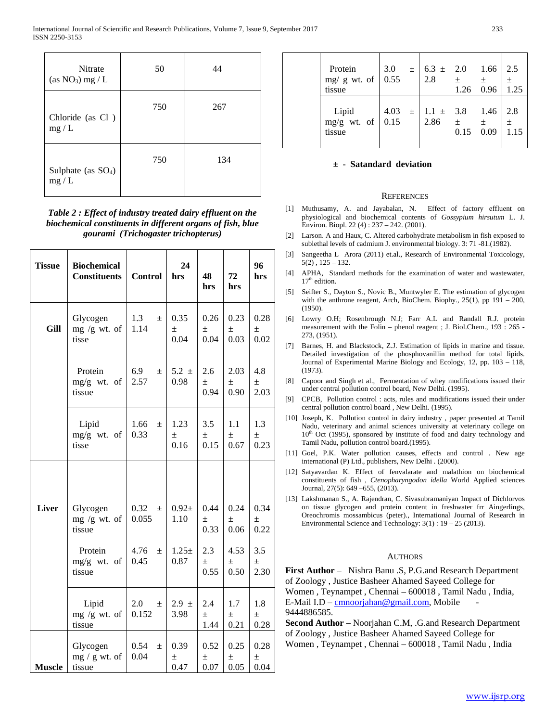| <b>Nitrate</b><br>(as $NO_3$ ) mg / L | 50  | 44  |
|---------------------------------------|-----|-----|
| Chloride (as Cl)<br>mg/L              | 750 | 267 |
| Sulphate (as $SO_4$ )<br>mg/L         | 750 | 134 |

*Table 2 : Effect of industry treated dairy effluent on the biochemical constituents in different organs of fish, blue gourami (Trichogaster trichopterus)*

| <b>Tissue</b> | <b>Biochemical</b><br><b>Constituents</b> | <b>Control</b>         | 24<br>hrs             | 48<br>hrs             | 72<br>hrs             | 96<br>hrs             |
|---------------|-------------------------------------------|------------------------|-----------------------|-----------------------|-----------------------|-----------------------|
| Gill          | Glycogen<br>mg /g wt. of<br>tisse         | 1.3<br>$\pm$<br>1.14   | 0.35<br>$\pm$<br>0.04 | 0.26<br>$\pm$<br>0.04 | 0.23<br>$\pm$<br>0.03 | 0.28<br>士<br>0.02     |
|               | Protein<br>$mg/g$ wt. of<br>tissue        | 6.9<br>$\pm$<br>2.57   | $5.2 \pm$<br>0.98     | 2.6<br>$\pm$<br>0.94  | 2.03<br>$\pm$<br>0.90 | 4.8<br>$\pm$<br>2.03  |
|               | Lipid<br>mg/g wt. of<br>tisse             | 1.66<br>$\pm$<br>0.33  | 1.23<br>$\pm$<br>0.16 | 3.5<br>士<br>0.15      | 1.1<br>$\pm$<br>0.67  | 1.3<br>$\pm$<br>0.23  |
|               |                                           |                        |                       |                       |                       |                       |
| <b>Liver</b>  | Glycogen<br>mg /g wt. of<br>tissue        | 0.32<br>$\pm$<br>0.055 | $0.92 +$<br>1.10      | 0.44<br>士<br>0.33     | 0.24<br>$\pm$<br>0.06 | 0.34<br>$\pm$<br>0.22 |
|               | Protein<br>mg/g wt. of<br>tissue          | 4.76<br>$\pm$<br>0.45  | $1.25+$<br>0.87       | 2.3<br>$\pm$<br>0.55  | 4.53<br>$\pm$<br>0.50 | 3.5<br>$\pm$<br>2.30  |
|               | Lipid<br>$mg/g$ wt. of<br>tissue          | 2.0<br>$\pm$<br>0.152  | $2.9 \pm$<br>3.98     | 2.4<br>$\pm$<br>1.44  | 1.7<br>$\pm$<br>0.21  | 1.8<br>$\pm$<br>0.28  |
| <b>Muscle</b> | Glycogen<br>$mg / g wt.$ of<br>tissue     | 0.54<br>$\pm$<br>0.04  | 0.39<br>$\pm$<br>0.47 | 0.52<br>士<br>0.07     | 0.25<br>$\pm$<br>0.05 | 0.28<br>$\pm$<br>0.04 |

| Protein<br>mg/g wt. of $\vert$ 0.55<br>tissue | 3.0                | $\pm$ | $6.3 \pm$<br>2.8  | 2.0<br>$\pm$<br>1.26 | 1.66<br>$\pm$<br>0.96 | 2.5<br>$\pm$<br>1.25 |
|-----------------------------------------------|--------------------|-------|-------------------|----------------------|-----------------------|----------------------|
| Lipid<br>mg/g wt. of<br>tissue                | 4.03 $\pm$<br>0.15 |       | $1.1 \pm$<br>2.86 | 3.8<br>$\pm$<br>0.15 | 1.46<br>$\pm$<br>0.09 | 2.8<br>土<br>1.15     |

# **± - Satandard deviation**

#### **REFERENCES**

- [1] Muthusamy, A. and Jayabalan, N. Effect of factory effluent on physiological and biochemical contents of *Gossypium hirsutum* L. J. Environ. Biopl. 22 (4) : 237 – 242. (2001).
- [2] Larson. A and Haux, C. Altered carbohydrate metabolism in fish exposed to sublethal levels of cadmium J. environmental biology. 3: 71 -81.(1982).
- [3] Sangeetha L Arora (2011) et.al., Research of Environmental Toxicology,  $5(2)$ ,  $125 - 132$ .
- [4] APHA, Standard methods for the examination of water and wastewater,  $17<sup>th</sup>$  edition.
- [5] Seifter S., Dayton S., Novic B., Muntwyler E. The estimation of glycogen with the anthrone reagent, Arch, BioChem. Biophy.,  $25(1)$ , pp  $191 - 200$ , (1950).
- [6] Lowry O.H; Rosenbrough N.J; Farr A.L and Randall R.J. protein measurement with the Folin – phenol reagent ; J. Biol.Chem., 193 : 265 - 273, (1951).
- [7] Barnes, H. and Blackstock, Z.J. Estimation of lipids in marine and tissue. Detailed investigation of the phosphovanillin method for total lipids. Journal of Experimental Marine Biology and Ecology, 12, pp. 103 – 118, (1973).
- [8] Capoor and Singh et al., Fermentation of whey modifications issued their under central pollution control board, New Delhi. (1995).
- [9] CPCB, Pollution control : acts, rules and modifications issued their under central pollution control board , New Delhi. (1995).
- [10] Joseph, K. Pollution control in dairy industry , paper presented at Tamil Nadu, veterinary and animal sciences university at veterinary college on  $10<sup>th</sup>$  Oct (1995), sponsored by institute of food and dairy technology and Tamil Nadu, pollution control board.(1995).
- [11] Goel, P.K. Water pollution causes, effects and control . New age international (P) Ltd., publishers, New Delhi . (2000).
- [12] Satyavardan K. Effect of fenvalarate and malathion on biochemical constituents of fish , *Ctenopharyngodon idella* World Applied sciences Journal, 27(5): 649 –655, (2013).
- [13] Lakshmanan S., A. Rajendran, C. Sivasubramaniyan Impact of Dichlorvos on tissue glycogen and protein content in freshwater frr Aingerlings, Oreochromis mossambicus (peter)., International Journal of Research in Environmental Science and Technology: 3(1) : 19 – 25 (2013).

# **AUTHORS**

**First Author** – Nishra Banu .S, P.G.and Research Department of Zoology , Justice Basheer Ahamed Sayeed College for Women , Teynampet , Chennai – 600018 , Tamil Nadu , India, E-Mail I.D – [cmnoorjahan@gmail.com,](mailto:cmnoorjahan@gmail.com) Mobile 9444886585.

**Second Author** – Noorjahan C.M, .G.and Research Department of Zoology , Justice Basheer Ahamed Sayeed College for Women , Teynampet , Chennai – 600018 , Tamil Nadu , India